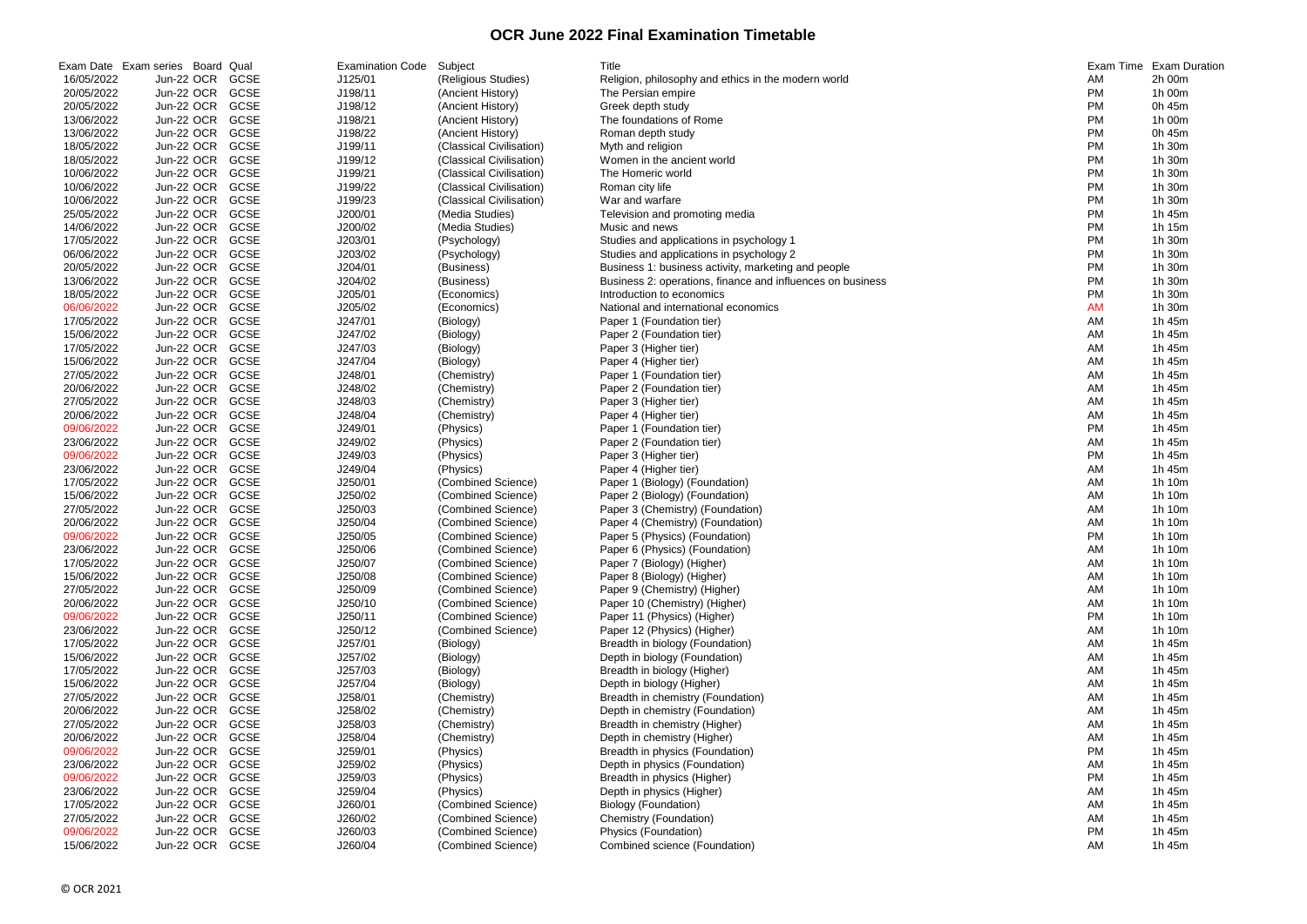## **OCR June 2022 Final Examination Timetable**

|            | Exam Date Exam series Board Qual |             | <b>Examination Code</b> | Subject                  | Title                                                      | Exam Time | <b>Exam Duration</b> |
|------------|----------------------------------|-------------|-------------------------|--------------------------|------------------------------------------------------------|-----------|----------------------|
| 16/05/2022 | Jun-22 OCR                       | GCSE        | J125/01                 | (Religious Studies)      | Religion, philosophy and ethics in the modern world        | AM        | 2h 00m               |
| 20/05/2022 | Jun-22 OCR                       | GCSE        | J198/11                 | (Ancient History)        | The Persian empire                                         | <b>PM</b> | 1h 00m               |
| 20/05/2022 | Jun-22 OCR                       | <b>GCSE</b> | J198/12                 | (Ancient History)        | Greek depth study                                          | <b>PM</b> | 0h 45m               |
| 13/06/2022 | Jun-22 OCR                       | <b>GCSE</b> | J198/21                 | (Ancient History)        | The foundations of Rome                                    | <b>PM</b> | 1h 00m               |
| 13/06/2022 | Jun-22 OCR                       | <b>GCSE</b> | J198/22                 | (Ancient History)        | Roman depth study                                          | <b>PM</b> | 0h 45m               |
| 18/05/2022 | Jun-22 OCR                       | GCSE        | J199/11                 | (Classical Civilisation) | Myth and religion                                          | <b>PM</b> | 1h 30m               |
| 18/05/2022 | Jun-22 OCR                       | GCSE        | J199/12                 | (Classical Civilisation) | Women in the ancient world                                 | <b>PM</b> | 1h 30m               |
| 10/06/2022 | Jun-22 OCR                       | GCSE        | J199/21                 | (Classical Civilisation) | The Homeric world                                          | <b>PM</b> | 1h 30m               |
| 10/06/2022 | Jun-22 OCR                       | <b>GCSE</b> | J199/22                 | (Classical Civilisation) | Roman city life                                            | <b>PM</b> | 1h 30m               |
| 10/06/2022 | Jun-22 OCR                       | <b>GCSE</b> | J199/23                 | (Classical Civilisation) | War and warfare                                            | <b>PM</b> | 1h 30m               |
| 25/05/2022 | Jun-22 OCR                       | <b>GCSE</b> | J200/01                 | (Media Studies)          | Television and promoting media                             | <b>PM</b> | 1h 45m               |
| 14/06/2022 | Jun-22 OCR                       | GCSE        | J200/02                 | (Media Studies)          | Music and news                                             | <b>PM</b> | 1h 15m               |
| 17/05/2022 | Jun-22 OCR                       | GCSE        | J203/01                 | (Psychology)             | Studies and applications in psychology 1                   | <b>PM</b> | 1h 30m               |
| 06/06/2022 | Jun-22 OCR                       | <b>GCSE</b> | J203/02                 | (Psychology)             | Studies and applications in psychology 2                   | <b>PM</b> | 1h 30m               |
| 20/05/2022 | Jun-22 OCR                       | GCSE        | J204/01                 | (Business)               | Business 1: business activity, marketing and people        | <b>PM</b> | 1h 30m               |
| 13/06/2022 | Jun-22 OCR                       | <b>GCSE</b> | J204/02                 | (Business)               | Business 2: operations, finance and influences on business | <b>PM</b> | 1h 30m               |
| 18/05/2022 | Jun-22 OCR                       | <b>GCSE</b> | J205/01                 | (Economics)              | Introduction to economics                                  | <b>PM</b> | 1h 30m               |
| 06/06/2022 | Jun-22 OCR                       | GCSE        | J205/02                 | (Economics)              | National and international economics                       | <b>AM</b> | 1h 30m               |
| 17/05/2022 | Jun-22 OCR                       | <b>GCSE</b> | J247/01                 | (Biology)                | Paper 1 (Foundation tier)                                  | <b>AM</b> | 1h 45m               |
| 15/06/2022 | Jun-22 OCR                       | GCSE        | J247/02                 | (Biology)                | Paper 2 (Foundation tier)                                  | <b>AM</b> | 1h 45m               |
| 17/05/2022 | Jun-22 OCR                       | GCSE        | J247/03                 | (Biology)                | Paper 3 (Higher tier)                                      | <b>AM</b> | 1h 45m               |
| 15/06/2022 | Jun-22 OCR                       | GCSE        | J247/04                 | (Biology)                | Paper 4 (Higher tier)                                      | <b>AM</b> | 1h 45m               |
| 27/05/2022 | Jun-22 OCR                       | GCSE        | J248/01                 | (Chemistry)              | Paper 1 (Foundation tier)                                  | <b>AM</b> | 1h 45m               |
| 20/06/2022 | Jun-22 OCR                       | GCSE        | J248/02                 | (Chemistry)              | Paper 2 (Foundation tier)                                  | <b>AM</b> | 1h 45m               |
| 27/05/2022 | Jun-22 OCR                       | GCSE        | J248/03                 | (Chemistry)              | Paper 3 (Higher tier)                                      | <b>AM</b> | 1h 45m               |
| 20/06/2022 | Jun-22 OCR                       | GCSE        | J248/04                 | (Chemistry)              | Paper 4 (Higher tier)                                      | <b>AM</b> | 1h 45m               |
| 09/06/2022 | Jun-22 OCR                       | <b>GCSE</b> | J249/01                 | (Physics)                | Paper 1 (Foundation tier)                                  | <b>PM</b> | 1h 45m               |
| 23/06/2022 | Jun-22 OCR                       | <b>GCSE</b> | J249/02                 | (Physics)                | Paper 2 (Foundation tier)                                  | <b>AM</b> | 1h 45m               |
| 09/06/2022 | Jun-22 OCR                       | <b>GCSE</b> | J249/03                 | (Physics)                | Paper 3 (Higher tier)                                      | <b>PM</b> | 1h 45m               |
| 23/06/2022 | Jun-22 OCR                       | GCSE        | J249/04                 | (Physics)                | Paper 4 (Higher tier)                                      | <b>AM</b> | 1h 45m               |
| 17/05/2022 | Jun-22 OCR                       | <b>GCSE</b> | J250/01                 | (Combined Science)       | Paper 1 (Biology) (Foundation)                             | <b>AM</b> | 1h 10m               |
| 15/06/2022 | Jun-22 OCR                       | <b>GCSE</b> | J250/02                 | (Combined Science)       | Paper 2 (Biology) (Foundation)                             | <b>AM</b> | 1h 10m               |
| 27/05/2022 | Jun-22 OCR                       | <b>GCSE</b> | J250/03                 | (Combined Science)       | Paper 3 (Chemistry) (Foundation)                           | <b>AM</b> | 1h 10m               |
| 20/06/2022 | Jun-22 OCR                       | GCSE        | J250/04                 | (Combined Science)       | Paper 4 (Chemistry) (Foundation)                           | <b>AM</b> | 1h 10m               |
| 09/06/2022 | Jun-22 OCR GCSE                  |             | J250/05                 | (Combined Science)       | Paper 5 (Physics) (Foundation)                             | <b>PM</b> | 1h 10m               |
| 23/06/2022 | Jun-22 OCR                       | GCSE        | J250/06                 | (Combined Science)       | Paper 6 (Physics) (Foundation)                             | AM        | 1h 10m               |
| 17/05/2022 | Jun-22 OCR                       | GCSE        | J250/07                 | (Combined Science)       | Paper 7 (Biology) (Higher)                                 | AM        | 1h 10m               |
| 15/06/2022 | Jun-22 OCR                       | GCSE        | J250/08                 | (Combined Science)       | Paper 8 (Biology) (Higher)                                 | AM        | 1h 10m               |
| 27/05/2022 | Jun-22 OCR                       | <b>GCSE</b> | J250/09                 | (Combined Science)       | Paper 9 (Chemistry) (Higher)                               | AM        | 1h 10m               |
| 20/06/2022 | Jun-22 OCR                       | <b>GCSE</b> | J250/10                 | (Combined Science)       | Paper 10 (Chemistry) (Higher)                              | AM        | 1h 10m               |
| 09/06/2022 | Jun-22 OCR                       | <b>GCSE</b> | J250/11                 | (Combined Science)       | Paper 11 (Physics) (Higher)                                | <b>PM</b> | 1h 10m               |
| 23/06/2022 | Jun-22 OCR                       | <b>GCSE</b> | J250/12                 | (Combined Science)       | Paper 12 (Physics) (Higher)                                | <b>AM</b> | 1h 10m               |
| 17/05/2022 | Jun-22 OCR                       | <b>GCSE</b> | J257/01                 | (Biology)                | Breadth in biology (Foundation)                            | <b>AM</b> | 1h 45m               |
| 15/06/2022 | Jun-22 OCR                       | <b>GCSE</b> | J257/02                 | (Biology)                | Depth in biology (Foundation)                              | <b>AM</b> | 1h 45m               |
| 17/05/2022 | Jun-22 OCR                       | <b>GCSE</b> | J257/03                 | (Biology)                | Breadth in biology (Higher)                                | <b>AM</b> | 1h 45m               |
| 15/06/2022 | Jun-22 OCR                       | <b>GCSE</b> | J257/04                 | (Biology)                | Depth in biology (Higher)                                  | <b>AM</b> | 1h 45m               |
| 27/05/2022 | Jun-22 OCR                       | <b>GCSE</b> | J258/01                 | (Chemistry)              | Breadth in chemistry (Foundation)                          | AM        | 1h 45m               |
| 20/06/2022 | Jun-22 OCR                       | <b>GCSE</b> | J258/02                 | (Chemistry)              | Depth in chemistry (Foundation)                            | AM        | 1h 45m               |
| 27/05/2022 | Jun-22 OCR                       | GCSE        | J258/03                 | (Chemistry)              | Breadth in chemistry (Higher)                              | AM        | 1h 45m               |
| 20/06/2022 | Jun-22 OCR                       | GCSE        | J258/04                 | (Chemistry)              | Depth in chemistry (Higher)                                | AM        | 1h 45m               |
| 09/06/2022 | Jun-22 OCR                       | <b>GCSE</b> | J259/01                 | (Physics)                | Breadth in physics (Foundation)                            | <b>PM</b> | 1h 45m               |
| 23/06/2022 | Jun-22 OCR                       | <b>GCSE</b> | J259/02                 | (Physics)                | Depth in physics (Foundation)                              | <b>AM</b> | 1h 45m               |
| 09/06/2022 | Jun-22 OCR                       | <b>GCSE</b> | J259/03                 | (Physics)                | Breadth in physics (Higher)                                | <b>PM</b> | 1h 45m               |
| 23/06/2022 | Jun-22 OCR                       | <b>GCSE</b> | J259/04                 | (Physics)                | Depth in physics (Higher)                                  | <b>AM</b> | 1h 45m               |
| 17/05/2022 | Jun-22 OCR                       | <b>GCSE</b> | J260/01                 | (Combined Science)       | Biology (Foundation)                                       | <b>AM</b> | 1h 45m               |
| 27/05/2022 | Jun-22 OCR                       | <b>GCSE</b> | J260/02                 | (Combined Science)       | Chemistry (Foundation)                                     | AM        | 1h 45m               |
| 09/06/2022 | Jun-22 OCR                       | GCSE        | J260/03                 | (Combined Science)       | Physics (Foundation)                                       | <b>PM</b> | 1h 45m               |
| 15/06/2022 | Jun-22 OCR                       | GCSE        | J260/04                 | (Combined Science)       | Combined science (Foundation)                              | <b>AM</b> | 1h 45m               |

| Exam Time | Exam Duratior |
|-----------|---------------|
| ΑM        | 2h 00m        |
| РM        | 1h 00m        |
| РM        | 0h 45m        |
|           | 1h 00m        |
| PM        |               |
| РM        | 0h 45m        |
| РM        | 1h 30m        |
| PM        | 1h 30m        |
| PM        | 1h<br>30m     |
| РM        | 1h 30m        |
| PM        | 1h 30m        |
| РM        | 1h 45m        |
| РM        | 1h 15m        |
|           |               |
| РM        | 1h 30m        |
| РM        | 1h 30m        |
| РM        | 1h 30m        |
| РM        | 1h 30m        |
| PM        | 1h 30m        |
| AM        | 1h 30m        |
| AM        | 1h 45m        |
| AM        | 1h 45m        |
|           |               |
| AM        | 1h 45m        |
| AM        | 1h 45m        |
| AM        | 1h 45m        |
| AM        | 1h 45m        |
| AM        | 1h 45m        |
| AM        | 1h 45m        |
| РM        | 1h 45m        |
| AM        | 1h 45m        |
|           | 1h 45m        |
| РM        |               |
| AM        | 1h 45m        |
| AM        | 1h 10m        |
| AM        | 1h 10m        |
| AM        | 1h 10m        |
| AM        | 1h 10m        |
| ΡM        | 1h 10m        |
| АM        | 1h 10m        |
| ΑM        | 1h 10m        |
|           | 1h 10m        |
| AM        |               |
| АM        | 1h 10m        |
| AM        | 1h 10m        |
| PM        | 1h 10m        |
| AM        | 1h 10m        |
| AM        | 1h 45m        |
| AM        | 1h 45m        |
| ΑM        | 1h 45m        |
| AM        | 1h 45m        |
|           |               |
| ΑM        | 1h 45m        |
| ΑM        | 1h 45m        |
| AM        | 1h 45m        |
| ΑM        | 1h 45m        |
| РM        | 1h 45m        |
| AM        | 1h 45m        |
| PM        | 1h 45m        |
| ΑM        | 1h 45m        |
|           | 1h 45m        |
| ΑM        |               |
| ΑM        | 1h 45m        |
| РM        | 1h 45m        |
| AM        | 1h 45m        |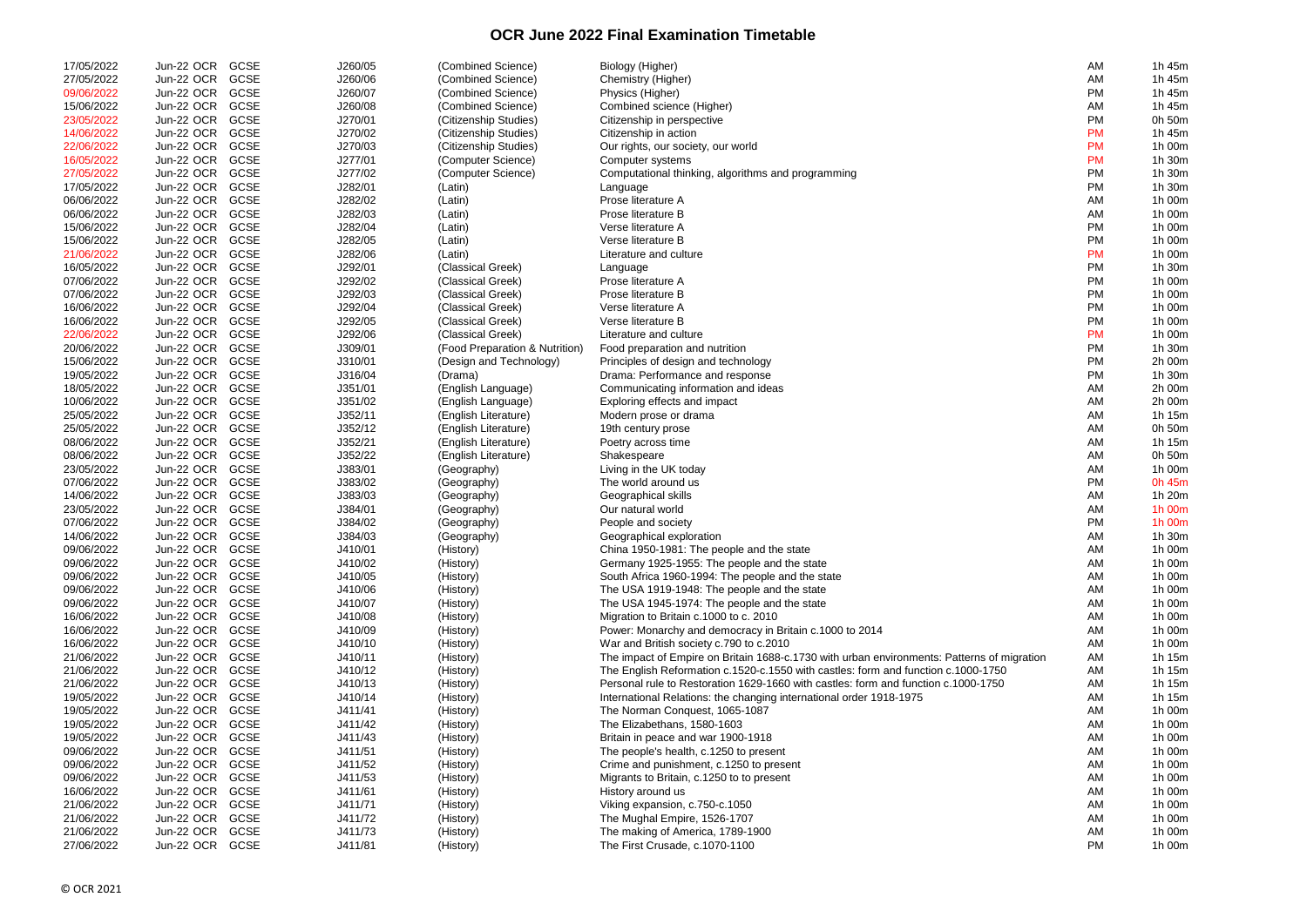## **OCR June 2022 Final Examination Timetable**

| 17/05/2022 | Jun-22 OCR      | <b>GCSE</b> | J260/05 | (Combined Science)             | Biology (Higher)                                                                           | AM        | 1h 45m |
|------------|-----------------|-------------|---------|--------------------------------|--------------------------------------------------------------------------------------------|-----------|--------|
| 27/05/2022 | Jun-22 OCR      | GCSE        | J260/06 | (Combined Science)             | Chemistry (Higher)                                                                         | AM        | 1h 45m |
| 09/06/2022 | Jun-22 OCR      | <b>GCSE</b> | J260/07 | (Combined Science)             | Physics (Higher)                                                                           | PM        | 1h 45m |
| 15/06/2022 | Jun-22 OCR      | GCSE        | J260/08 | (Combined Science)             | Combined science (Higher)                                                                  | AM        | 1h 45m |
| 23/05/2022 | Jun-22 OCR      | GCSE        | J270/01 | (Citizenship Studies)          | Citizenship in perspective                                                                 | PM        | 0h 50m |
| 14/06/2022 | Jun-22 OCR      | GCSE        | J270/02 | (Citizenship Studies)          | Citizenship in action                                                                      | <b>PM</b> | 1h 45m |
| 22/06/2022 | Jun-22 OCR      | GCSE        | J270/03 | (Citizenship Studies)          | Our rights, our society, our world                                                         | <b>PM</b> | 1h 00m |
| 16/05/2022 | Jun-22 OCR      | GCSE        | J277/01 | (Computer Science)             | Computer systems                                                                           | <b>PM</b> | 1h 30m |
| 27/05/2022 | Jun-22 OCR      | GCSE        | J277/02 | (Computer Science)             | Computational thinking, algorithms and programming                                         | <b>PM</b> | 1h 30m |
| 17/05/2022 | Jun-22 OCR      | <b>GCSE</b> | J282/01 | (Latin)                        | Language                                                                                   | <b>PM</b> | 1h 30m |
| 06/06/2022 | Jun-22 OCR      | <b>GCSE</b> | J282/02 | (Latin)                        | Prose literature A                                                                         | AM        | 1h 00m |
| 06/06/2022 | Jun-22 OCR      | <b>GCSE</b> | J282/03 | (Latin)                        | Prose literature B                                                                         | AM        | 1h 00m |
| 15/06/2022 | Jun-22 OCR      | <b>GCSE</b> | J282/04 | (Latin)                        | Verse literature A                                                                         | <b>PM</b> | 1h 00m |
| 15/06/2022 | Jun-22 OCR      | <b>GCSE</b> | J282/05 | (Latin)                        | Verse literature B                                                                         | <b>PM</b> | 1h 00m |
| 21/06/2022 | Jun-22 OCR      | <b>GCSE</b> | J282/06 | (Latin)                        | Literature and culture                                                                     | <b>PM</b> | 1h 00m |
| 16/05/2022 | Jun-22 OCR      | <b>GCSE</b> | J292/01 | (Classical Greek)              | Language                                                                                   | <b>PM</b> | 1h 30m |
| 07/06/2022 | Jun-22 OCR      | <b>GCSE</b> | J292/02 | (Classical Greek)              | Prose literature A                                                                         | <b>PM</b> | 1h 00m |
| 07/06/2022 | Jun-22 OCR      | <b>GCSE</b> | J292/03 | (Classical Greek)              | Prose literature B                                                                         | <b>PM</b> | 1h 00m |
| 16/06/2022 | Jun-22 OCR      | <b>GCSE</b> | J292/04 | (Classical Greek)              | Verse literature A                                                                         | <b>PM</b> | 1h 00m |
| 16/06/2022 | Jun-22 OCR      | <b>GCSE</b> | J292/05 | (Classical Greek)              | Verse literature B                                                                         | <b>PM</b> | 1h 00m |
| 22/06/2022 | Jun-22 OCR      | <b>GCSE</b> | J292/06 | (Classical Greek)              | Literature and culture                                                                     | <b>PM</b> | 1h 00m |
| 20/06/2022 | Jun-22 OCR      | <b>GCSE</b> | J309/01 | (Food Preparation & Nutrition) | Food preparation and nutrition                                                             | PM        | 1h 30m |
| 15/06/2022 | Jun-22 OCR      | GCSE        | J310/01 | (Design and Technology)        | Principles of design and technology                                                        | PM        | 2h 00m |
| 19/05/2022 | Jun-22 OCR      | <b>GCSE</b> | J316/04 | (Drama)                        | Drama: Performance and response                                                            | PM        | 1h 30m |
| 18/05/2022 | Jun-22 OCR      | <b>GCSE</b> | J351/01 | (English Language)             | Communicating information and ideas                                                        | AM        | 2h 00m |
| 10/06/2022 | Jun-22 OCR      | <b>GCSE</b> | J351/02 | (English Language)             | Exploring effects and impact                                                               | AM        | 2h 00m |
| 25/05/2022 | Jun-22 OCR      | <b>GCSE</b> | J352/11 | (English Literature)           | Modern prose or drama                                                                      | AM        | 1h 15m |
| 25/05/2022 | Jun-22 OCR      | <b>GCSE</b> | J352/12 | (English Literature)           | 19th century prose                                                                         | AM        | 0h 50m |
| 08/06/2022 | Jun-22 OCR      | GCSE        | J352/21 | (English Literature)           | Poetry across time                                                                         | AM        | 1h 15m |
| 08/06/2022 | Jun-22 OCR      | GCSE        | J352/22 | (English Literature)           | Shakespeare                                                                                | AM        | 0h 50m |
| 23/05/2022 | Jun-22 OCR      | GCSE        | J383/01 | (Geography)                    | Living in the UK today                                                                     | AM        | 1h 00m |
| 07/06/2022 | Jun-22 OCR      | <b>GCSE</b> | J383/02 | (Geography)                    | The world around us                                                                        | PM        | 0h 45m |
| 14/06/2022 | Jun-22 OCR      | GCSE        | J383/03 | (Geography)                    | Geographical skills                                                                        | AM        | 1h 20m |
| 23/05/2022 | Jun-22 OCR      | <b>GCSE</b> | J384/01 | (Geography)                    | Our natural world                                                                          | AM        | 1h 00m |
| 07/06/2022 | Jun-22 OCR      | GCSE        | J384/02 | (Geography)                    | People and society                                                                         | <b>PM</b> | 1h 00m |
| 14/06/2022 | Jun-22 OCR GCSE |             | J384/03 | (Geography)                    | Geographical exploration                                                                   | AM        | 1h 30m |
| 09/06/2022 | Jun-22 OCR GCSE |             | J410/01 | (History)                      | China 1950-1981: The people and the state                                                  | AM        | 1h 00m |
| 09/06/2022 | Jun-22 OCR      | GCSE        | J410/02 | (History)                      | Germany 1925-1955: The people and the state                                                | AM        | 1h 00m |
| 09/06/2022 | Jun-22 OCR GCSE |             | J410/05 | (History)                      | South Africa 1960-1994: The people and the state                                           | AM        | 1h 00m |
| 09/06/2022 | Jun-22 OCR GCSE |             | J410/06 | (History)                      | The USA 1919-1948: The people and the state                                                | AM        | 1h 00m |
| 09/06/2022 | Jun-22 OCR      | GCSE        | J410/07 | (History)                      | The USA 1945-1974: The people and the state                                                | AM        | 1h 00m |
| 16/06/2022 | Jun-22 OCR      | GCSE        | J410/08 | (History)                      | Migration to Britain c.1000 to c. 2010                                                     | AM        | 1h 00m |
| 16/06/2022 | Jun-22 OCR      | GCSE        | J410/09 | (History)                      | Power: Monarchy and democracy in Britain c.1000 to 2014                                    | AM        | 1h 00m |
| 16/06/2022 | Jun-22 OCR      | <b>GCSE</b> | J410/10 |                                | War and British society c.790 to c.2010                                                    | AM        | 1h 00m |
| 21/06/2022 | Jun-22 OCR      | <b>GCSE</b> | J410/11 | (History)                      | The impact of Empire on Britain 1688-c.1730 with urban environments: Patterns of migration |           | 1h 15m |
| 21/06/2022 | Jun-22 OCR      | <b>GCSE</b> |         | (History)                      |                                                                                            | AM        | 1h 15m |
|            |                 | <b>GCSE</b> | J410/12 | (History)                      | The English Reformation c.1520-c.1550 with castles: form and function c.1000-1750          | AM        |        |
| 21/06/2022 | Jun-22 OCR      |             | J410/13 | (History)                      | Personal rule to Restoration 1629-1660 with castles: form and function c.1000-1750         | AM        | 1h 15m |
| 19/05/2022 | Jun-22 OCR      | <b>GCSE</b> | J410/14 | (History)                      | International Relations: the changing international order 1918-1975                        | AM        | 1h 15m |
| 19/05/2022 | Jun-22 OCR      | <b>GCSE</b> | J411/41 | (History)                      | The Norman Conquest, 1065-1087                                                             | AM        | 1h 00m |
| 19/05/2022 | Jun-22 OCR      | <b>GCSE</b> | J411/42 | (History)                      | The Elizabethans, 1580-1603                                                                | AM        | 1h 00m |
| 19/05/2022 | Jun-22 OCR      | <b>GCSE</b> | J411/43 | (History)                      | Britain in peace and war 1900-1918                                                         | AM        | 1h 00m |
| 09/06/2022 | Jun-22 OCR      | <b>GCSE</b> | J411/51 | (History)                      | The people's health, c.1250 to present                                                     | AM        | 1h 00m |
| 09/06/2022 | Jun-22 OCR      | <b>GCSE</b> | J411/52 | (History)                      | Crime and punishment, c.1250 to present                                                    | AM        | 1h 00m |
| 09/06/2022 | Jun-22 OCR      | <b>GCSE</b> | J411/53 | (History)                      | Migrants to Britain, c.1250 to to present                                                  | AM        | 1h 00m |
| 16/06/2022 | Jun-22 OCR      | GCSE        | J411/61 | (History)                      | History around us                                                                          | AM        | 1h 00m |
| 21/06/2022 | Jun-22 OCR      | <b>GCSE</b> | J411/71 | (History)                      | Viking expansion, c.750-c.1050                                                             | AM        | 1h 00m |
| 21/06/2022 | Jun-22 OCR      | <b>GCSE</b> | J411/72 | (History)                      | The Mughal Empire, 1526-1707                                                               | AM        | 1h 00m |
| 21/06/2022 | Jun-22 OCR      | GCSE        | J411/73 | (History)                      | The making of America, 1789-1900                                                           | AM        | 1h 00m |
| 27/06/2022 | Jun-22 OCR GCSE |             | J411/81 | (History)                      | The First Crusade, c.1070-1100                                                             | <b>PM</b> | 1h 00m |

| ΑM | 1h 45m                |
|----|-----------------------|
| AM | 1h 45m                |
| РM | 1h 45m                |
| АM | 1h 45m                |
| РM | 0h 50m                |
| РM | 1h 45m                |
| PM | 1h 00m                |
| РM | 1h 30m                |
| РM | 1h 30m                |
| РM | 1h 30m                |
| AM | 1h 00m                |
| AM | 1h 00m                |
| РM | 1h 00m                |
| РM | 1h 00m                |
|    |                       |
| PM | 1h 00m                |
| РM | 1h 30m                |
| РM | 1h 00m                |
| РM | 1h 00m                |
| РM | 1h 00m                |
| РM | 1h 00m                |
| РM | 1h 00m                |
| РM | 1h 30m                |
| РM | 2h 00m                |
| РM | 1h 30m                |
| AM | 2h 00m                |
| АM | 2h 00m                |
| AM | 1h 15m                |
| AM | 0h 50m                |
| AM | 1h 15m                |
| AM | 0h 50m                |
| AM | 1h 00m                |
| РM | 0h 45m                |
| AM | 1h 20m                |
| AM | 1h 00m                |
|    | 1h 00m                |
| РM |                       |
| AM | 1h 30m                |
| АM | 1h 00m                |
| ΑM | 1h 00m                |
| AM | 1h 00m                |
| AM | 1h 00m                |
| AM | 1h 00m                |
| AM | 1h 00m                |
| AM | 1h 00m                |
| AM | 1h 00m                |
| AM | 1h 15m                |
| AM | 1h 15m                |
| AM | 1h<br>15 <sub>m</sub> |
| AM | 1h 15m                |
| AM | 1h 00m                |
| AM | 1h 00m                |
| AM | 1h 00m                |
| АM | 1h 00m                |
| АM | 1h 00m                |
| AM | 1h 00m                |
| АM | 1h 00m                |
| АM | 1h 00m                |
|    |                       |
| AM | 1h 00m                |
| АM |                       |
| РM | 1h 00m<br>1h 00m      |